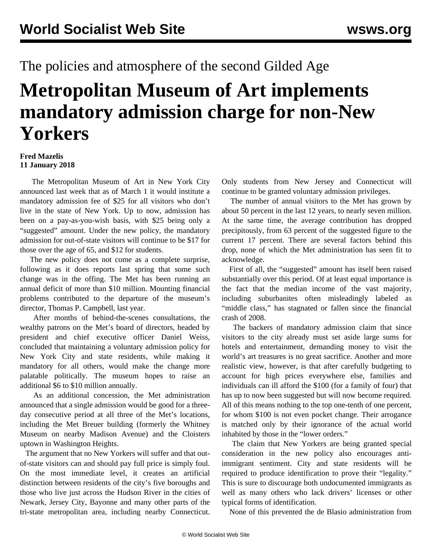## The policies and atmosphere of the second Gilded Age

## **Metropolitan Museum of Art implements mandatory admission charge for non-New Yorkers**

## **Fred Mazelis 11 January 2018**

 The Metropolitan Museum of Art in New York City announced last week that as of March 1 it would institute a mandatory admission fee of \$25 for all visitors who don't live in the state of New York. Up to now, admission has been on a pay-as-you-wish basis, with \$25 being only a "suggested" amount. Under the new policy, the mandatory admission for out-of-state visitors will continue to be \$17 for those over the age of 65, and \$12 for students.

 The new policy does not come as a complete surprise, following as it does reports last spring that some such change was in the offing. The Met has been running an annual deficit of more than \$10 million. Mounting financial problems contributed to the departure of the museum's director, Thomas P. Campbell, last year.

 After months of behind-the-scenes consultations, the wealthy patrons on the Met's board of directors, headed by president and chief executive officer Daniel Weiss, concluded that maintaining a voluntary admission policy for New York City and state residents, while making it mandatory for all others, would make the change more palatable politically. The museum hopes to raise an additional \$6 to \$10 million annually.

 As an additional concession, the Met administration announced that a single admission would be good for a threeday consecutive period at all three of the Met's locations, including the Met Breuer building (formerly the Whitney Museum on nearby Madison Avenue) and the Cloisters uptown in Washington Heights.

 The argument that no New Yorkers will suffer and that outof-state visitors can and should pay full price is simply foul. On the most immediate level, it creates an artificial distinction between residents of the city's five boroughs and those who live just across the Hudson River in the cities of Newark, Jersey City, Bayonne and many other parts of the tri-state metropolitan area, including nearby Connecticut.

Only students from New Jersey and Connecticut will continue to be granted voluntary admission privileges.

 The number of annual visitors to the Met has grown by about 50 percent in the last 12 years, to nearly seven million. At the same time, the average contribution has dropped precipitously, from 63 percent of the suggested figure to the current 17 percent. There are several factors behind this drop, none of which the Met administration has seen fit to acknowledge.

 First of all, the "suggested" amount has itself been raised substantially over this period. Of at least equal importance is the fact that the median income of the vast majority, including suburbanites often misleadingly labeled as "middle class," has stagnated or fallen since the financial crash of 2008.

 The backers of mandatory admission claim that since visitors to the city already must set aside large sums for hotels and entertainment, demanding money to visit the world's art treasures is no great sacrifice. Another and more realistic view, however, is that after carefully budgeting to account for high prices everywhere else, families and individuals can ill afford the \$100 (for a family of four) that has up to now been suggested but will now become required. All of this means nothing to the top one-tenth of one percent, for whom \$100 is not even pocket change. Their arrogance is matched only by their ignorance of the actual world inhabited by those in the "lower orders."

 The claim that New Yorkers are being granted special consideration in the new policy also encourages antiimmigrant sentiment. City and state residents will be required to produce identification to prove their "legality." This is sure to discourage both undocumented immigrants as well as many others who lack drivers' licenses or other typical forms of identification.

None of this prevented the de Blasio administration from